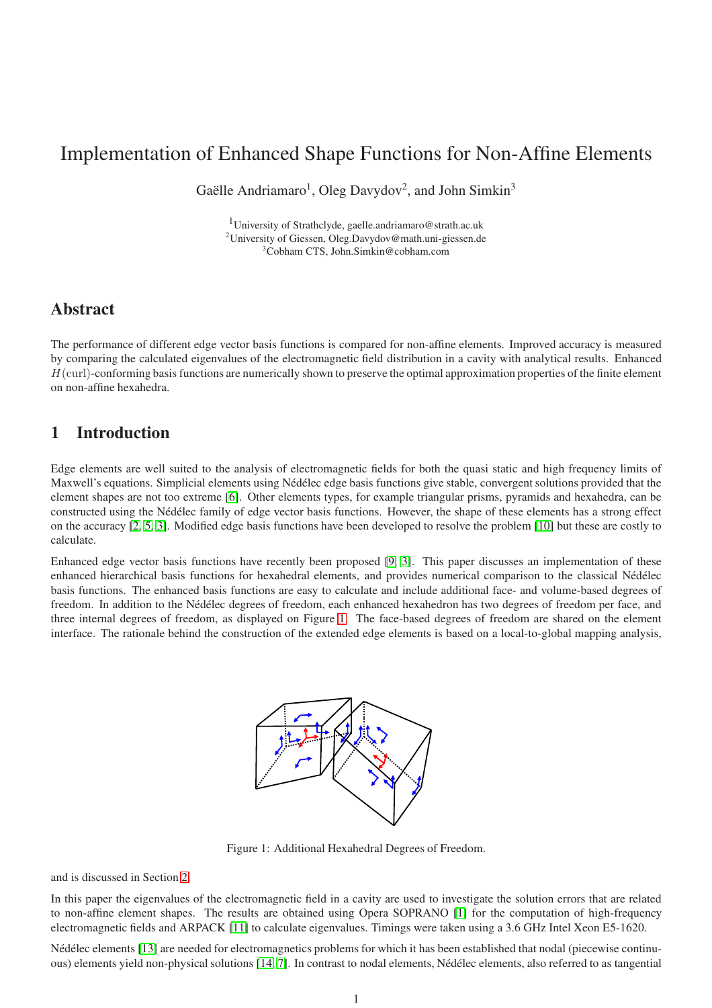# Implementation of Enhanced Shape Functions for Non-Affine Elements

Gaëlle Andriamaro<sup>1</sup>, Oleg Davydov<sup>2</sup>, and John Simkin<sup>3</sup>

<sup>1</sup>University of Strathclyde, gaelle.andriamaro@strath.ac.uk <sup>2</sup>University of Giessen, Oleg.Davydov@math.uni-giessen.de <sup>3</sup>Cobham CTS, John.Simkin@cobham.com

## Abstract

The performance of different edge vector basis functions is compared for non-affine elements. Improved accuracy is measured by comparing the calculated eigenvalues of the electromagnetic field distribution in a cavity with analytical results. Enhanced  $H$ (curl)-conforming basis functions are numerically shown to preserve the optimal approximation properties of the finite element on non-affine hexahedra.

## 1 Introduction

Edge elements are well suited to the analysis of electromagnetic fields for both the quasi static and high frequency limits of Maxwell's equations. Simplicial elements using Nédélec edge basis functions give stable, convergent solutions provided that the element shapes are not too extreme [\[6\]](#page-5-0). Other elements types, for example triangular prisms, pyramids and hexahedra, can be constructed using the Nédélec family of edge vector basis functions. However, the shape of these elements has a strong effect on the accuracy [\[2,](#page-5-1) [5,](#page-5-2) [3\]](#page-5-3). Modified edge basis functions have been developed to resolve the problem [\[10\]](#page-6-0) but these are costly to calculate.

Enhanced edge vector basis functions have recently been proposed [\[9,](#page-6-1) [3\]](#page-5-3). This paper discusses an implementation of these enhanced hierarchical basis functions for hexahedral elements, and provides numerical comparison to the classical Nédélec basis functions. The enhanced basis functions are easy to calculate and include additional face- and volume-based degrees of freedom. In addition to the Nédélec degrees of freedom, each enhanced hexahedron has two degrees of freedom per face, and three internal degrees of freedom, as displayed on Figure [1.](#page-0-0) The face-based degrees of freedom are shared on the element interface. The rationale behind the construction of the extended edge elements is based on a local-to-global mapping analysis,



<span id="page-0-0"></span>Figure 1: Additional Hexahedral Degrees of Freedom.

and is discussed in Section [2.](#page-1-0)

In this paper the eigenvalues of the electromagnetic field in a cavity are used to investigate the solution errors that are related to non-affine element shapes. The results are obtained using Opera SOPRANO [\[1\]](#page-5-4) for the computation of high-frequency electromagnetic fields and ARPACK [\[11\]](#page-6-2) to calculate eigenvalues. Timings were taken using a 3.6 GHz Intel Xeon E5-1620.

Nédélec elements [\[13\]](#page-6-3) are needed for electromagnetics problems for which it has been established that nodal (piecewise continuous) elements yield non-physical solutions [\[14,](#page-6-4) [7\]](#page-6-5). In contrast to nodal elements, N´ed´elec elements, also referred to as tangential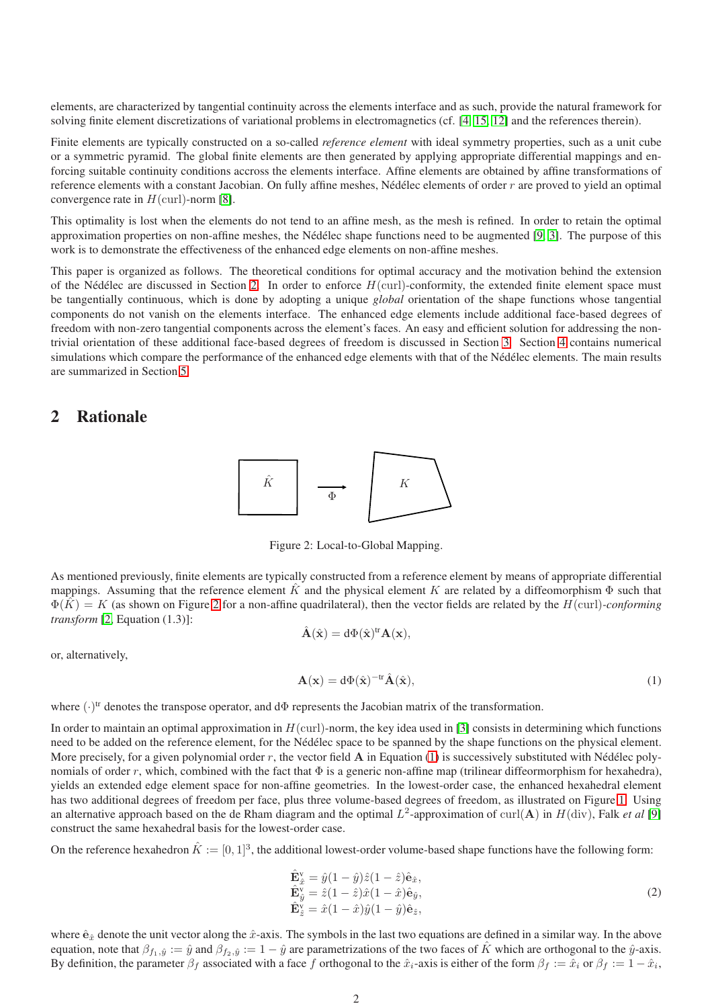elements, are characterized by tangential continuity across the elements interface and as such, provide the natural framework for solving finite element discretizations of variational problems in electromagnetics (cf. [\[4,](#page-5-5) [15,](#page-6-6) [12\]](#page-6-7) and the references therein).

Finite elements are typically constructed on a so-called *reference element* with ideal symmetry properties, such as a unit cube or a symmetric pyramid. The global finite elements are then generated by applying appropriate differential mappings and enforcing suitable continuity conditions accross the elements interface. Affine elements are obtained by affine transformations of reference elements with a constant Jacobian. On fully affine meshes, Nédélec elements of order  $r$  are proved to yield an optimal convergence rate in  $H$ (curl)-norm [\[8\]](#page-6-8).

This optimality is lost when the elements do not tend to an affine mesh, as the mesh is refined. In order to retain the optimal approximation properties on non-affine meshes, the Nédélec shape functions need to be augmented  $[9, 3]$  $[9, 3]$ . The purpose of this work is to demonstrate the effectiveness of the enhanced edge elements on non-affine meshes.

This paper is organized as follows. The theoretical conditions for optimal accuracy and the motivation behind the extension of the Nédélec are discussed in Section [2.](#page-1-0) In order to enforce  $H(\text{curl})$ -conformity, the extended finite element space must be tangentially continuous, which is done by adopting a unique *global* orientation of the shape functions whose tangential components do not vanish on the elements interface. The enhanced edge elements include additional face-based degrees of freedom with non-zero tangential components across the element's faces. An easy and efficient solution for addressing the nontrivial orientation of these additional face-based degrees of freedom is discussed in Section [3.](#page-2-0) Section [4](#page-3-0) contains numerical simulations which compare the performance of the enhanced edge elements with that of the Nédélec elements. The main results are summarized in Section [5.](#page-5-6)

## <span id="page-1-0"></span>2 Rationale



<span id="page-1-1"></span>Figure 2: Local-to-Global Mapping.

As mentioned previously, finite elements are typically constructed from a reference element by means of appropriate differential mappings. Assuming that the reference element  $\hat{K}$  and the physical element K are related by a diffeomorphism  $\Phi$  such that  $\Phi(\hat{K}) = K$  (as shown on Figure [2](#page-1-1) for a non-affine quadrilateral), then the vector fields are related by the  $H$ (curl)*-conforming transform* [\[2,](#page-5-1) Equation (1.3)]:

<span id="page-1-2"></span>
$$
\hat{\mathbf{A}}(\hat{\mathbf{x}}) = d\Phi(\hat{\mathbf{x}})^{\mathrm{tr}} \mathbf{A}(\mathbf{x}),
$$

or, alternatively,

$$
\mathbf{A}(\mathbf{x}) = d\Phi(\hat{\mathbf{x}})^{-tr}\hat{\mathbf{A}}(\hat{\mathbf{x}}),\tag{1}
$$

where  $(\cdot)^{tr}$  denotes the transpose operator, and d $\Phi$  represents the Jacobian matrix of the transformation.

In order to maintain an optimal approximation in  $H$ (curl)-norm, the key idea used in [\[3\]](#page-5-3) consists in determining which functions need to be added on the reference element, for the Nédélec space to be spanned by the shape functions on the physical element. More precisely, for a given polynomial order  $r$ , the vector field  $A$  in Equation [\(1\)](#page-1-2) is successively substituted with Nédélec polynomials of order r, which, combined with the fact that  $\Phi$  is a generic non-affine map (trilinear diffeormorphism for hexahedra), yields an extended edge element space for non-affine geometries. In the lowest-order case, the enhanced hexahedral element has two additional degrees of freedom per face, plus three volume-based degrees of freedom, as illustrated on Figure [1.](#page-0-0) Using an alternative approach based on the de Rham diagram and the optimal  $L^2$ -approximation of curl( $A$ ) in  $H(\text{div})$ , Falk *et al* [\[9\]](#page-6-1) construct the same hexahedral basis for the lowest-order case.

On the reference hexahedron  $\hat{K} := [0,1]^3$ , the additional lowest-order volume-based shape functions have the following form:

<span id="page-1-3"></span>
$$
\begin{aligned}\n\hat{\mathbf{E}}_{\hat{x}}^{\mathbf{v}} &= \hat{y}(1-\hat{y})\hat{z}(1-\hat{z})\hat{\mathbf{e}}_{\hat{x}},\\ \n\hat{\mathbf{E}}_{\hat{y}}^{\mathbf{v}} &= \hat{z}(1-\hat{z})\hat{x}(1-\hat{x})\hat{\mathbf{e}}_{\hat{y}},\\ \n\hat{\mathbf{E}}_{\hat{z}}^{\mathbf{v}} &= \hat{x}(1-\hat{x})\hat{y}(1-\hat{y})\hat{\mathbf{e}}_{\hat{z}},\n\end{aligned} \tag{2}
$$

where  $\hat{\mathbf{e}}_{\hat{x}}$  denote the unit vector along the  $\hat{x}$ -axis. The symbols in the last two equations are defined in a similar way. In the above equation, note that  $\beta_{f_1,\hat{y}} := \hat{y}$  and  $\beta_{f_2,\hat{y}} := 1 - \hat{y}$  are parametrizations of the two faces of  $\hat{K}$  which are orthogonal to the  $\hat{y}$ -axis. By definition, the parameter  $\beta_f$  associated with a face f orthogonal to the  $\hat{x}_i$ -axis is either of the form  $\beta_f := \hat{x}_i$  or  $\beta_f := 1 - \hat{x}_i$ ,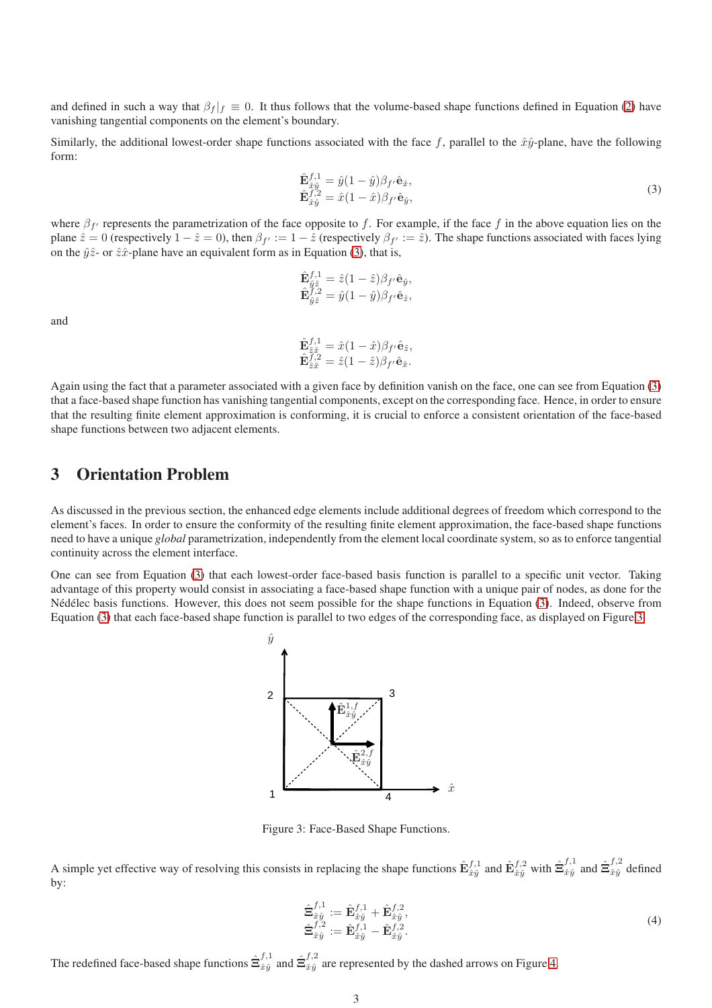and defined in such a way that  $\beta_f |_f \equiv 0$ . It thus follows that the volume-based shape functions defined in Equation [\(2\)](#page-1-3) have vanishing tangential components on the element's boundary.

Similarly, the additional lowest-order shape functions associated with the face f, parallel to the  $\hat{x} \hat{y}$ -plane, have the following form:

<span id="page-2-1"></span>
$$
\hat{\mathbf{E}}_{\hat{x}\hat{y}}^{f,1} = \hat{y}(1-\hat{y})\beta_{f'}\hat{\mathbf{e}}_{\hat{x}}, \n\hat{\mathbf{E}}_{\hat{x}\hat{y}}^{f,2} = \hat{x}(1-\hat{x})\beta_{f'}\hat{\mathbf{e}}_{\hat{y}},
$$
\n(3)

where  $\beta_{f'}$  represents the parametrization of the face opposite to f. For example, if the face f in the above equation lies on the plane  $\hat{z} = 0$  (respectively  $1 - \hat{z} = 0$ ), then  $\beta_{f'} := 1 - \hat{z}$  (respectively  $\beta_{f'} := \hat{z}$ ). The shape functions associated with faces lying on the  $\hat{y}\hat{z}$ - or  $\hat{z}\hat{x}$ -plane have an equivalent form as in Equation [\(3\)](#page-2-1), that is,

$$
\hat{\mathbf{E}}_{\hat{y}\hat{z}}^{f,1} = \hat{z}(1-\hat{z})\beta_{f'}\hat{\mathbf{e}}_{\hat{y}},\n\hat{\mathbf{E}}_{\hat{y}\hat{z}}^{f,2} = \hat{y}(1-\hat{y})\beta_{f'}\hat{\mathbf{e}}_{\hat{z}},
$$

and

$$
\hat{\mathbf{E}}_{\hat{z}\hat{x}}^{f,1} = \hat{x}(1-\hat{x})\beta_{f'}\hat{\mathbf{e}}_{\hat{z}}, \n\hat{\mathbf{E}}_{\hat{z}\hat{x}}^{f,2} = \hat{z}(1-\hat{z})\beta_{f'}\hat{\mathbf{e}}_{\hat{x}}.
$$

Again using the fact that a parameter associated with a given face by definition vanish on the face, one can see from Equation [\(3\)](#page-2-1) that a face-based shape function has vanishing tangential components, except on the corresponding face. Hence, in order to ensure that the resulting finite element approximation is conforming, it is crucial to enforce a consistent orientation of the face-based shape functions between two adjacent elements.

#### <span id="page-2-0"></span>3 Orientation Problem

As discussed in the previous section, the enhanced edge elements include additional degrees of freedom which correspond to the element's faces. In order to ensure the conformity of the resulting finite element approximation, the face-based shape functions need to have a unique *global* parametrization, independently from the element local coordinate system, so as to enforce tangential continuity across the element interface.

One can see from Equation [\(3\)](#page-2-1) that each lowest-order face-based basis function is parallel to a specific unit vector. Taking advantage of this property would consist in associating a face-based shape function with a unique pair of nodes, as done for the Nédélec basis functions. However, this does not seem possible for the shape functions in Equation [\(3\)](#page-2-1). Indeed, observe from Equation [\(3\)](#page-2-1) that each face-based shape function is parallel to two edges of the corresponding face, as displayed on Figure [3.](#page-2-2)



<span id="page-2-2"></span>Figure 3: Face-Based Shape Functions.

A simple yet effective way of resolving this consists in replacing the shape functions  $\hat{\mathbf{E}}_{\hat{x}\hat{y}}^{f,1}$  and  $\hat{\mathbf{E}}_{\hat{x}\hat{y}}^{f,2}$  with  $\hat{\mathbf{\Xi}}_{\hat{x}\hat{y}}^{f,1}$  $f,1}_{\hat{x}\hat{y}}$  and  $\hat{\Xi}_{\hat{x}\hat{y}}^{f,2}$  $\hat{x}\hat{y}$  defined by:

<span id="page-2-3"></span>
$$
\hat{\mathbf{\Xi}}_{\hat{x}\hat{y}}^{f,1} := \hat{\mathbf{E}}_{\hat{x}\hat{y}}^{f,1} + \hat{\mathbf{E}}_{\hat{x}\hat{y}}^{f,2}, \n\hat{\mathbf{\Xi}}_{\hat{x}\hat{y}}^{f,2} := \hat{\mathbf{E}}_{\hat{x}\hat{y}}^{f,1} - \hat{\mathbf{E}}_{\hat{x}\hat{y}}^{f,2}.
$$
\n(4)

The redefined face-based shape functions  $\hat{\Xi}_{\hat{x}\hat{u}}^{f,1}$  $f^{,1}_{\hat{x}\hat{y}}$  and  $\hat{\Xi}^{f,2}_{\hat{x}\hat{y}}$  $\hat{x}$ <sup>3,2</sup> are represented by the dashed arrows on Figure [4.](#page-3-1)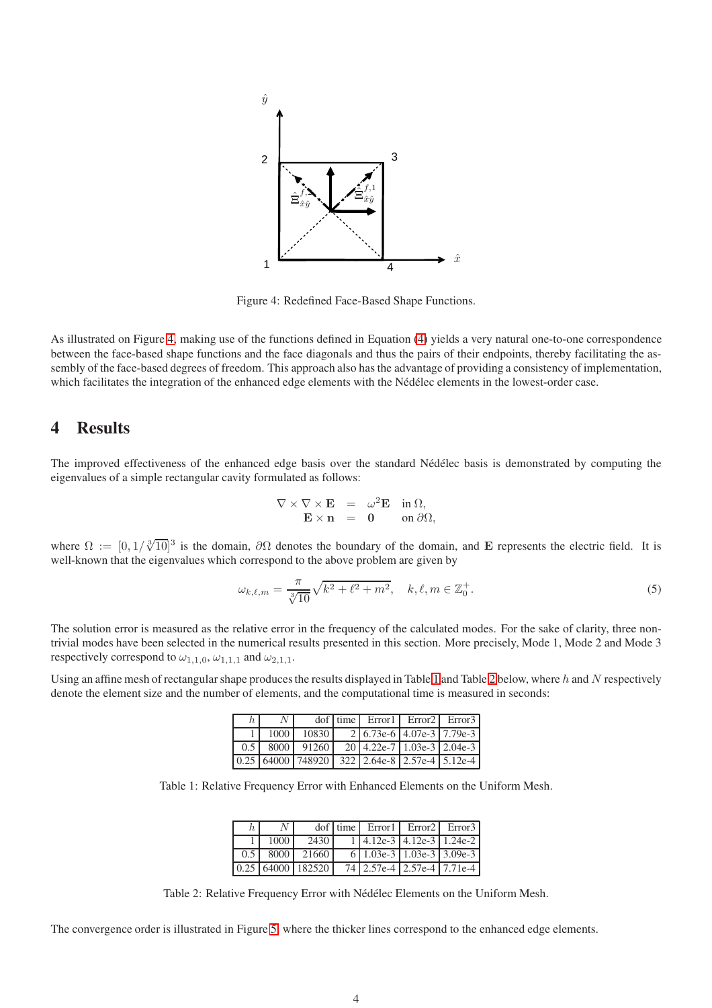

<span id="page-3-1"></span>Figure 4: Redefined Face-Based Shape Functions.

As illustrated on Figure [4,](#page-3-1) making use of the functions defined in Equation [\(4\)](#page-2-3) yields a very natural one-to-one correspondence between the face-based shape functions and the face diagonals and thus the pairs of their endpoints, thereby facilitating the assembly of the face-based degrees of freedom. This approach also has the advantage of providing a consistency of implementation, which facilitates the integration of the enhanced edge elements with the Nédélec elements in the lowest-order case.

## <span id="page-3-0"></span>4 Results

The improved effectiveness of the enhanced edge basis over the standard Nédélec basis is demonstrated by computing the eigenvalues of a simple rectangular cavity formulated as follows:

$$
\nabla \times \nabla \times \mathbf{E} = \omega^2 \mathbf{E} \quad \text{in } \Omega, \n\mathbf{E} \times \mathbf{n} = \mathbf{0} \quad \text{on } \partial \Omega,
$$

where  $\Omega := [0, 1/\sqrt[3]{10}]^3$  is the domain,  $\partial\Omega$  denotes the boundary of the domain, and E represents the electric field. It is well-known that the eigenvalues which correspond to the above problem are given by

$$
\omega_{k,\ell,m} = \frac{\pi}{\sqrt[3]{10}} \sqrt{k^2 + \ell^2 + m^2}, \quad k,\ell,m \in \mathbb{Z}_0^+.
$$
 (5)

The solution error is measured as the relative error in the frequency of the calculated modes. For the sake of clarity, three nontrivial modes have been selected in the numerical results presented in this section. More precisely, Mode 1, Mode 2 and Mode 3 respectively correspond to  $\omega_{1,1,0}, \omega_{1,1,1}$  and  $\omega_{2,1,1}$ .

Using an affine mesh of rectangular shape produces the results displayed in Table [1](#page-3-2) and Table [2](#page-3-3) below, where h and N respectively denote the element size and the number of elements, and the computational time is measured in seconds:

| h' | N <sub>1</sub> |  | $dof$ time Error I Error 2 Error 3                                                                                     |  |
|----|----------------|--|------------------------------------------------------------------------------------------------------------------------|--|
|    |                |  | $1000$   10830   2   6.73e-6   4.07e-3   7.79e-3                                                                       |  |
|    |                |  | $\begin{array}{ c c c c c c c c c c c } \hline 0.5 & 8000 & 91260 & 20 & 4.22 & e & 1.03 & e & 3 \ \hline \end{array}$ |  |
|    |                |  | $\boxed{0.25}$ 64000 748920 322 2.64e-8 2.57e-4 5.12e-4                                                                |  |

Table 1: Relative Frequency Error with Enhanced Elements on the Uniform Mesh.

<span id="page-3-2"></span>

|             |      |                                         | dof time Error Error Error Error 3         |  |
|-------------|------|-----------------------------------------|--------------------------------------------|--|
|             | 1000 | 2430                                    | $1 \mid 4.12e-3 \mid 4.12e-3 \mid 1.24e-2$ |  |
| $0.5 \perp$ |      | 8000 21660                              | 6   1.03e-3   1.03e-3   3.09e-3            |  |
|             |      | $\mid 0.25 \mid 64000 \mid 182520 \mid$ | 74 2.57e-4 2.57e-4 7.71e-4                 |  |

<span id="page-3-3"></span>Table 2: Relative Frequency Error with Nédélec Elements on the Uniform Mesh.

The convergence order is illustrated in Figure [5,](#page-4-0) where the thicker lines correspond to the enhanced edge elements.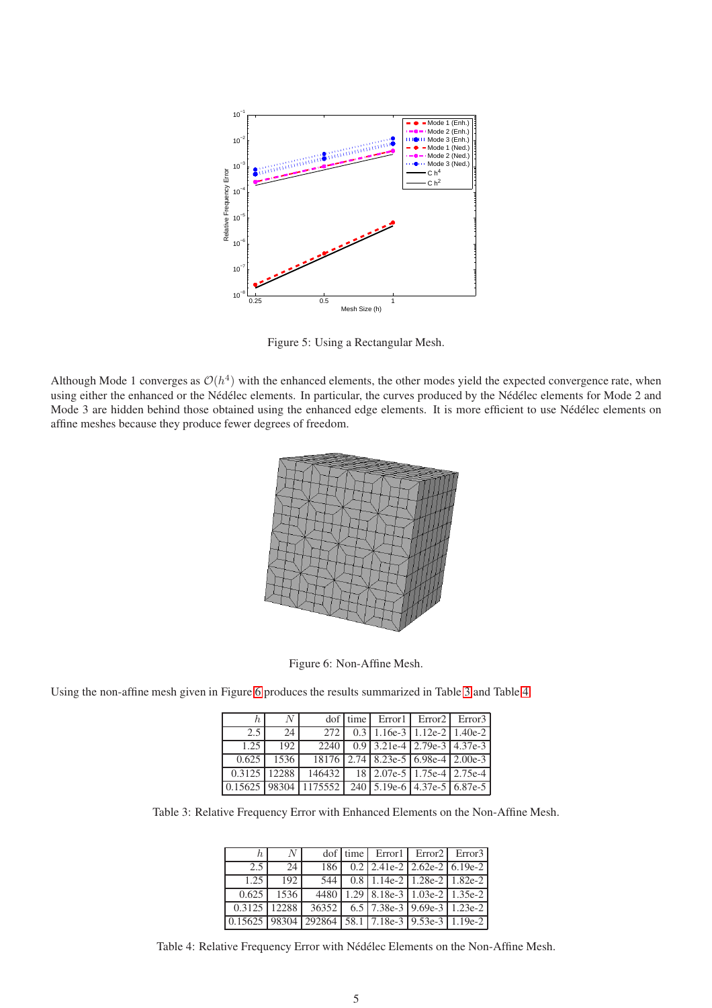

<span id="page-4-0"></span>Figure 5: Using a Rectangular Mesh.

Although Mode 1 converges as  $O(h^4)$  with the enhanced elements, the other modes yield the expected convergence rate, when using either the enhanced or the Nédélec elements. In particular, the curves produced by the Nédélec elements for Mode 2 and Mode 3 are hidden behind those obtained using the enhanced edge elements. It is more efficient to use Nédélec elements on affine meshes because they produce fewer degrees of freedom.



<span id="page-4-1"></span>Figure 6: Non-Affine Mesh.

Using the non-affine mesh given in Figure [6](#page-4-1) produces the results summarized in Table [3](#page-4-2) and Table [4:](#page-4-3)

| $h^+$        | $\overline{N}$ l |                                                   | $dof$ time Error l Error 2 Error 3 |  |
|--------------|------------------|---------------------------------------------------|------------------------------------|--|
| 2.5          | 24 <sup>1</sup>  |                                                   | 272 0.3 1.16e-3 1.12e-2 1.40e-2    |  |
| 1.25         | 192              |                                                   | 2240 0.9 3.21e-4 2.79e-3 4.37e-3   |  |
|              | $0.625$ 1536     |                                                   | 18176 2.74 8.23e-5 6.98e-4 2.00e-3 |  |
| 0.3125 12288 |                  |                                                   | 146432 18 2.07e-5 1.75e-4 2.75e-4  |  |
|              |                  | 0.15625 98304 1175552 240 5.19e-6 4.37e-5 6.87e-5 |                                    |  |

Table 3: Relative Frequency Error with Enhanced Elements on the Non-Affine Mesh.

<span id="page-4-2"></span>

| h.                                                | $N_{\rm}$    |  | dof time Error Error Error 2 Error 3 |  |
|---------------------------------------------------|--------------|--|--------------------------------------|--|
| 2.5                                               | 24           |  | $186$ 0.2 2.41e-2 2.62e-2 6.19e-2    |  |
| 1.25                                              | 192          |  | 544 0.8 1.14e-2 1.28e-2 1.82e-2      |  |
| 0.625                                             | 1536         |  | 4480 1.29 8.18e-3 1.03e-2 1.35e-2    |  |
|                                                   | 0.3125 12288 |  | 36352 6.5 7.38e-3 9.69e-3 1.23e-2    |  |
| 0.15625 98304 292864 58.1 7.18e-3 9.53e-3 1.19e-2 |              |  |                                      |  |

<span id="page-4-3"></span>Table 4: Relative Frequency Error with Nédélec Elements on the Non-Affine Mesh.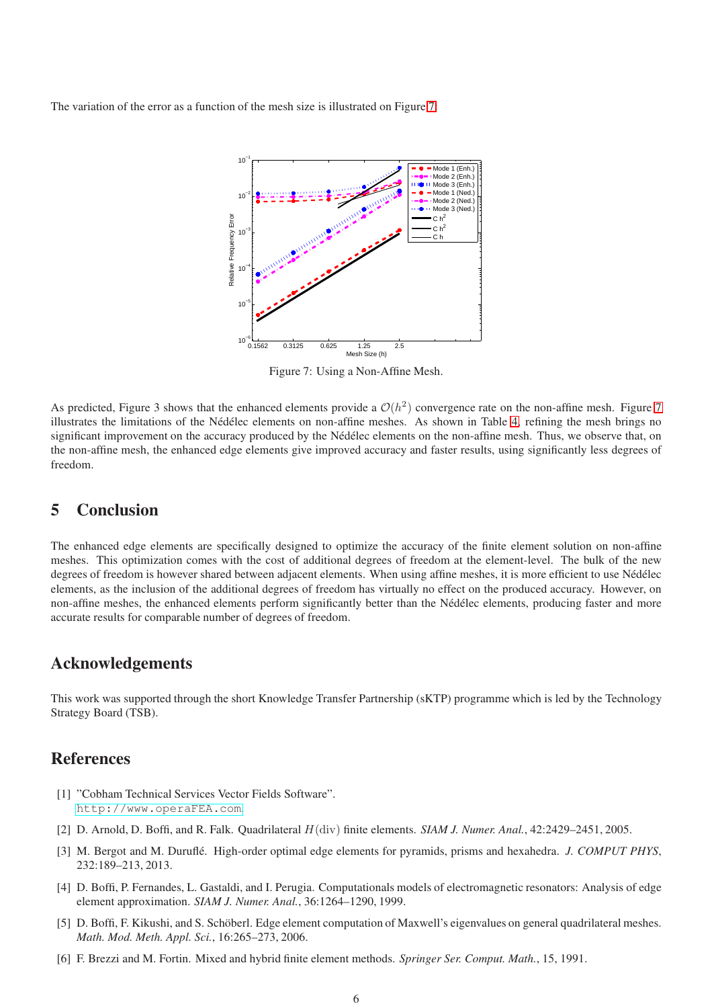The variation of the error as a function of the mesh size is illustrated on Figure [7:](#page-5-7)



<span id="page-5-7"></span>Figure 7: Using a Non-Affine Mesh.

As predicted, Figure 3 shows that the enhanced elements provide a  $O(h^2)$  convergence rate on the non-affine mesh. Figure [7](#page-5-7) illustrates the limitations of the Nédélec elements on non-affine meshes. As shown in Table [4,](#page-4-3) refining the mesh brings no significant improvement on the accuracy produced by the Nédélec elements on the non-affine mesh. Thus, we observe that, on the non-affine mesh, the enhanced edge elements give improved accuracy and faster results, using significantly less degrees of freedom.

## <span id="page-5-6"></span>5 Conclusion

The enhanced edge elements are specifically designed to optimize the accuracy of the finite element solution on non-affine meshes. This optimization comes with the cost of additional degrees of freedom at the element-level. The bulk of the new degrees of freedom is however shared between adjacent elements. When using affine meshes, it is more efficient to use Nédélec elements, as the inclusion of the additional degrees of freedom has virtually no effect on the produced accuracy. However, on non-affine meshes, the enhanced elements perform significantly better than the Nédélec elements, producing faster and more accurate results for comparable number of degrees of freedom.

#### Acknowledgements

This work was supported through the short Knowledge Transfer Partnership (sKTP) programme which is led by the Technology Strategy Board (TSB).

## <span id="page-5-4"></span>References

- <span id="page-5-1"></span>[1] "Cobham Technical Services Vector Fields Software". <http://www.operaFEA.com>.
- <span id="page-5-3"></span>[2] D. Arnold, D. Boffi, and R. Falk. Quadrilateral H(div) finite elements. *SIAM J. Numer. Anal.*, 42:2429–2451, 2005.
- <span id="page-5-5"></span>[3] M. Bergot and M. Duruflé. High-order optimal edge elements for pyramids, prisms and hexahedra. *J. COMPUT PHYS*, 232:189–213, 2013.
- <span id="page-5-2"></span>[4] D. Boffi, P. Fernandes, L. Gastaldi, and I. Perugia. Computationals models of electromagnetic resonators: Analysis of edge element approximation. *SIAM J. Numer. Anal.*, 36:1264–1290, 1999.
- <span id="page-5-0"></span>[5] D. Boffi, F. Kikushi, and S. Schöberl. Edge element computation of Maxwell's eigenvalues on general quadrilateral meshes. *Math. Mod. Meth. Appl. Sci.*, 16:265–273, 2006.
- [6] F. Brezzi and M. Fortin. Mixed and hybrid finite element methods. *Springer Ser. Comput. Math.*, 15, 1991.